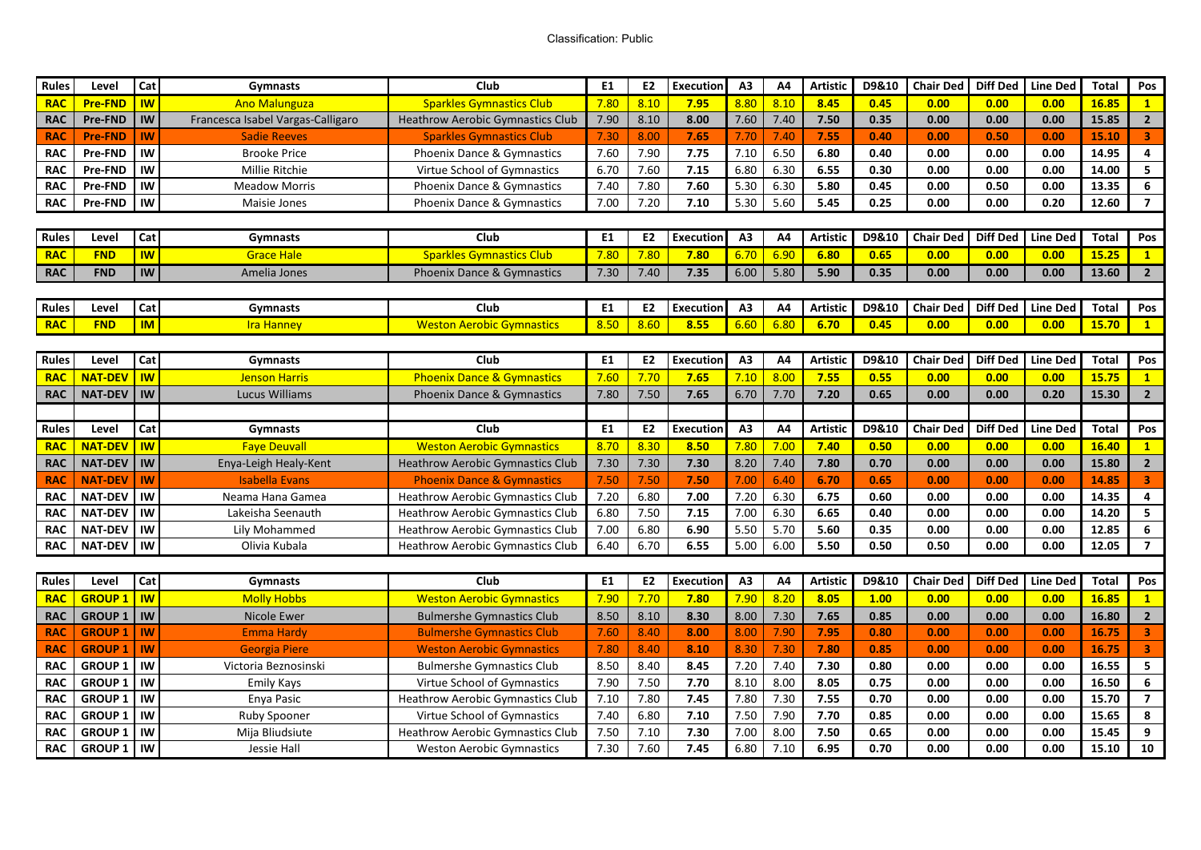## Classification: Public#

| <b>Rules</b> | Level          | Cat            | <b>Gymnasts</b>                   | Club                                    | E1             | E <sub>2</sub> | <b>Execution</b> | A3             | A4           | <b>Artistic</b> | D9&10 | <b>Chair Ded</b> | <b>Diff Ded</b> | <b>Line Ded</b> | <b>Total</b>   | Pos                     |
|--------------|----------------|----------------|-----------------------------------|-----------------------------------------|----------------|----------------|------------------|----------------|--------------|-----------------|-------|------------------|-----------------|-----------------|----------------|-------------------------|
| <b>RAC</b>   | <b>Pre-FND</b> | $\overline{w}$ | <b>Ano Malunguza</b>              | <b>Sparkles Gymnastics Club</b>         | 7.80           | 8.10           | 7.95             | 8.80           | 8.10         | 8.45            | 0.45  | 0.00             | 0.00            | 0.00            | 16.85          | $\mathbf{1}$            |
| <b>RAC</b>   | <b>Pre-FND</b> | IW             | Francesca Isabel Vargas-Calligaro | <b>Heathrow Aerobic Gymnastics Club</b> | 7.90           | 8.10           | 8.00             | 7.60           | 7.40         | 7.50            | 0.35  | 0.00             | 0.00            | 0.00            | 15.85          | $\overline{2}$          |
| <b>RAC</b>   | <b>Pre-FND</b> | <b>IW</b>      | <b>Sadie Reeves</b>               | <b>Sparkles Gymnastics Club</b>         | 7.30           | 8.00           | 7.65             | 7.70           | 7.40         | 7.55            | 0.40  | 0.00             | 0.50            | 0.00            | 15.10          | $\overline{\mathbf{3}}$ |
| <b>RAC</b>   | <b>Pre-FND</b> | IW             | <b>Brooke Price</b>               | <b>Phoenix Dance &amp; Gymnastics</b>   | 7.60           | 7.90           | 7.75             | 7.10           | 6.50         | 6.80            | 0.40  | 0.00             | 0.00            | 0.00            | 14.95          | $\overline{\mathbf{4}}$ |
| <b>RAC</b>   | <b>Pre-FND</b> | IW             | <b>Millie Ritchie</b>             | Virtue School of Gymnastics             | 6.70           | 7.60           | 7.15             | 6.80           | 6.30         | 6.55            | 0.30  | 0.00             | 0.00            | 0.00            | 14.00          | 5                       |
| <b>RAC</b>   | <b>Pre-FND</b> | IW             | <b>Meadow Morris</b>              | <b>Phoenix Dance &amp; Gymnastics</b>   | 7.40           | 7.80           | 7.60             | 5.30           | 6.30         | 5.80            | 0.45  | 0.00             | 0.50            | 0.00            | 13.35          | 6                       |
| <b>RAC</b>   | <b>Pre-FND</b> | IW             | Maisie Jones                      | Phoenix Dance & Gymnastics              | 7.00           | 7.20           | 7.10             | 5.30           | 5.60         | 5.45            | 0.25  | 0.00             | 0.00            | 0.20            | 12.60          | $\overline{7}$          |
|              |                |                |                                   |                                         |                |                |                  |                |              |                 |       |                  |                 |                 |                |                         |
| <b>Rules</b> | Level          | Cat            | Gymnasts                          | Club                                    | E1             | E <sub>2</sub> | <b>Execution</b> | A3             | A4           | <b>Artistic</b> | D9&10 | <b>Chair Ded</b> | <b>Diff Ded</b> | <b>Line Ded</b> | Total          | Pos                     |
| <b>RAC</b>   | <b>FND</b>     | <b>IW</b>      | <b>Grace Hale</b>                 | <b>Sparkles Gymnastics Club</b>         | 7.80           | 7.80           | 7.80             | 6.70           | 6.90         | 6.80            | 0.65  | 0.00             | 0.00            | 0.00            | 15.25          | $\mathbf{1}$            |
| <b>RAC</b>   | <b>FND</b>     | <b>IW</b>      | Amelia Jones                      | <b>Phoenix Dance &amp; Gymnastics</b>   | 7.30           | 7.40           | 7.35             | 6.00           | 5.80         | 5.90            | 0.35  | 0.00             | 0.00            | 0.00            | 13.60          | $2^{\circ}$             |
|              |                |                |                                   |                                         |                |                |                  |                |              |                 |       |                  |                 |                 |                |                         |
| Rules        | Level          | Cat            | Gymnasts                          | <b>Club</b>                             | <b>E1</b>      | <b>E2</b>      | Execution        | A <sub>3</sub> | A4           | <b>Artistic</b> | D9&10 | <b>Chair Ded</b> | <b>Diff Ded</b> | <b>Line Ded</b> | Total          | Pos                     |
| <b>RAC</b>   | <b>FND</b>     | $\overline{M}$ | <b>Ira Hanney</b>                 | <b>Weston Aerobic Gymnastics</b>        | 8.50           | 8.60           | 8.55             | 6.60           | 6.80         | 6.70            | 0.45  | 0.00             | 0.00            | 0.00            | 15.70          | $\mathbf{1}$            |
|              |                |                |                                   |                                         |                |                |                  |                |              |                 |       |                  |                 |                 |                |                         |
| <b>Rules</b> | Level          | Cat            | <b>Gymnasts</b>                   | Club                                    | E <sub>1</sub> | E <sub>2</sub> | Execution        | A3             | A4           | <b>Artistic</b> | D9&10 | <b>Chair Ded</b> | <b>Diff Ded</b> | <b>Line Ded</b> | <b>Total</b>   | Pos                     |
| <b>RAC</b>   | <b>NAT-DEV</b> | $\overline{w}$ | <b>Jenson Harris</b>              | <b>Phoenix Dance &amp; Gymnastics</b>   | 7.60           | 7.70           | 7.65             | 7.10           | 8.00         | 7.55            | 0.55  | 0.00             | 0.00            | 0.00            | 15.75          | $\mathbf{1}$            |
| <b>RAC</b>   | <b>NAT-DEV</b> | <b>IW</b>      | <b>Lucus Williams</b>             | <b>Phoenix Dance &amp; Gymnastics</b>   | 7.80           | 7.50           | 7.65             | 6.70           | 7.70         | 7.20            | 0.65  | 0.00             | 0.00            | 0.20            | 15.30          | $\overline{2}$          |
|              |                |                |                                   |                                         |                |                |                  |                |              |                 |       |                  |                 |                 |                |                         |
| <b>Rules</b> | Level          | Cat            | <b>Gymnasts</b>                   | Club                                    | E1             | <b>E2</b>      | <b>Executior</b> | A3             | A4           | Artistic        | D9&10 | <b>Chair Ded</b> | <b>Diff Ded</b> | <b>Line Ded</b> | <b>Total</b>   | Pos                     |
| <b>RAC</b>   | <b>NAT-DEV</b> | <b>IW</b>      | <b>Faye Deuvall</b>               | <b>Weston Aerobic Gymnastics</b>        | 8.70           | 8.30           | 8.50             | 7.80           | 7.00         | 7.40            | 0.50  | 0.00             | 0.00            | 0.00            | 16.40          | $\mathbf{1}$            |
| <b>RAC</b>   | <b>NAT-DEV</b> | IW             | Enya-Leigh Healy-Kent             | <b>Heathrow Aerobic Gymnastics Club</b> | 7.30           | 7.30           | 7.30             | 8.20           | 7.40         | 7.80            | 0.70  | 0.00             | 0.00            | 0.00            | 15.80          | $\overline{2}$          |
| <b>RAC</b>   | <b>NAT-DEV</b> | <b>IW</b>      | <b>Isabella Evans</b>             | <b>Phoenix Dance &amp; Gymnastics</b>   | 7.50           | 7.50           | 7.50             | 7.00           | 6.40         | 6.70            | 0.65  | 0.00             | 0.00            | 0.00            | 14.85          | $\overline{\mathbf{3}}$ |
| <b>RAC</b>   | <b>NAT-DEV</b> | IW             | Neama Hana Gamea                  | <b>Heathrow Aerobic Gymnastics Club</b> | 7.20           | 6.80           | 7.00             | 7.20           | 6.30         | 6.75            | 0.60  | 0.00             | 0.00            | 0.00            | 14.35          | $\overline{\mathbf{4}}$ |
| <b>RAC</b>   | <b>NAT-DEV</b> | IW             | Lakeisha Seenauth                 | Heathrow Aerobic Gymnastics Club        | 6.80           | 7.50           | 7.15             | 7.00           | 6.30         | 6.65            | 0.40  | 0.00             | 0.00            | 0.00            | 14.20          | 5                       |
| <b>RAC</b>   | <b>NAT-DEV</b> | IW             | Lily Mohammed                     | Heathrow Aerobic Gymnastics Club        | 7.00           | 6.80           | 6.90             | 5.50           | 5.70         | 5.60            | 0.35  | 0.00             | 0.00            | 0.00            | 12.85          | 6                       |
| <b>RAC</b>   | <b>NAT-DEV</b> | IW             | Olivia Kubala                     | <b>Heathrow Aerobic Gymnastics Club</b> | 6.40           | 6.70           | 6.55             | 5.00           | 6.00         | 5.50            | 0.50  | 0.50             | 0.00            | 0.00            | 12.05          | $\overline{\mathbf{z}}$ |
|              |                |                |                                   |                                         |                |                |                  |                |              |                 |       |                  |                 |                 |                |                         |
| <b>Rules</b> |                |                |                                   |                                         |                |                |                  |                |              |                 |       |                  |                 |                 |                | Pos                     |
|              | Level          | Cat            | Gymnasts                          | <b>Club</b>                             | E <sub>1</sub> | E2             | Execution        | A3             | A4           | <b>Artistic</b> | D9&10 | <b>Chair Ded</b> | <b>Diff Ded</b> | <b>Line Ded</b> | <b>Total</b>   |                         |
| <b>RAC</b>   | <b>GROUP 1</b> | $\overline{w}$ | <b>Molly Hobbs</b>                | <b>Weston Aerobic Gymnastics</b>        | 7.90           | 7.70           | 7.80             | 7.90           | 8.20         | 8.05            | 1.00  | 0.00             | 0.00            | 0.00            | 16.85          | $\mathbf{1}$            |
| <b>RAC</b>   | <b>GROUP 1</b> | <b>IW</b>      | Nicole Ewer                       | <b>Bulmershe Gymnastics Club</b>        | 8.50           | 8.10           | 8.30             | 8.00           | 7.30         | 7.65            | 0.85  | 0.00             | 0.00            | 0.00            | 16.80          | $\overline{2}$          |
| <b>RAC</b>   | <b>GROUP 1</b> | <b>IW</b>      | <b>Emma Hardy</b>                 | <b>Bulmershe Gymnastics Club</b>        | 7.60           | 8.40           | 8.00             | 8.00           | 7.90         | 7.95            | 0.80  | 0.00             | 0.00            | 0.00            | 16.75          | $\overline{\mathbf{3}}$ |
| <b>RAC</b>   | <b>GROUP 1</b> | <b>IW</b>      | <b>Georgia Piere</b>              | <b>Weston Aerobic Gymnastics</b>        | 7.80           | 8.40           | 8.10             | 8.30           | 7.30         | 7.80            | 0.85  | 0.00             | 0.00            | 0.00            | 16.75          | $\overline{\mathbf{3}}$ |
| <b>RAC</b>   | <b>GROUP 1</b> | IW             | Victoria Beznosinski              | <b>Bulmershe Gymnastics Club</b>        | 8.50           | 8.40           | 8.45             | 7.20           | 7.40         | 7.30            | 0.80  | 0.00             | 0.00            | 0.00            | 16.55          | $\overline{\mathbf{5}}$ |
| <b>RAC</b>   | <b>GROUP 1</b> | IW             | Emily Kays                        | Virtue School of Gymnastics             | 7.90           | 7.50           | 7.70             | 8.10           | 8.00         | 8.05            | 0.75  | 0.00             | 0.00            | 0.00            | 16.50          | $\boldsymbol{6}$        |
| <b>RAC</b>   | <b>GROUP 1</b> | IW             | Enya Pasic                        | <b>Heathrow Aerobic Gymnastics Club</b> | 7.10           | 7.80           | 7.45             | 7.80           | 7.30         | 7.55            | 0.70  | 0.00             | 0.00            | 0.00            | 15.70          | $\overline{\mathbf{z}}$ |
| <b>RAC</b>   | <b>GROUP 1</b> | IW             | <b>Ruby Spooner</b>               | Virtue School of Gymnastics             | 7.40           | 6.80           | 7.10             | 7.50           | 7.90         | 7.70            | 0.85  | 0.00             | 0.00            | 0.00            | 15.65          | 8                       |
| <b>RAC</b>   | <b>GROUP 1</b> | IW<br>IW       | Mija Bliudsiute                   | <b>Heathrow Aerobic Gymnastics Club</b> | 7.50<br>7.30   | 7.10<br>7.60   | 7.30<br>7.45     | 7.00           | 8.00<br>7.10 | 7.50<br>6.95    | 0.65  | 0.00             | 0.00            | 0.00            | 15.45<br>15.10 | 9<br>10                 |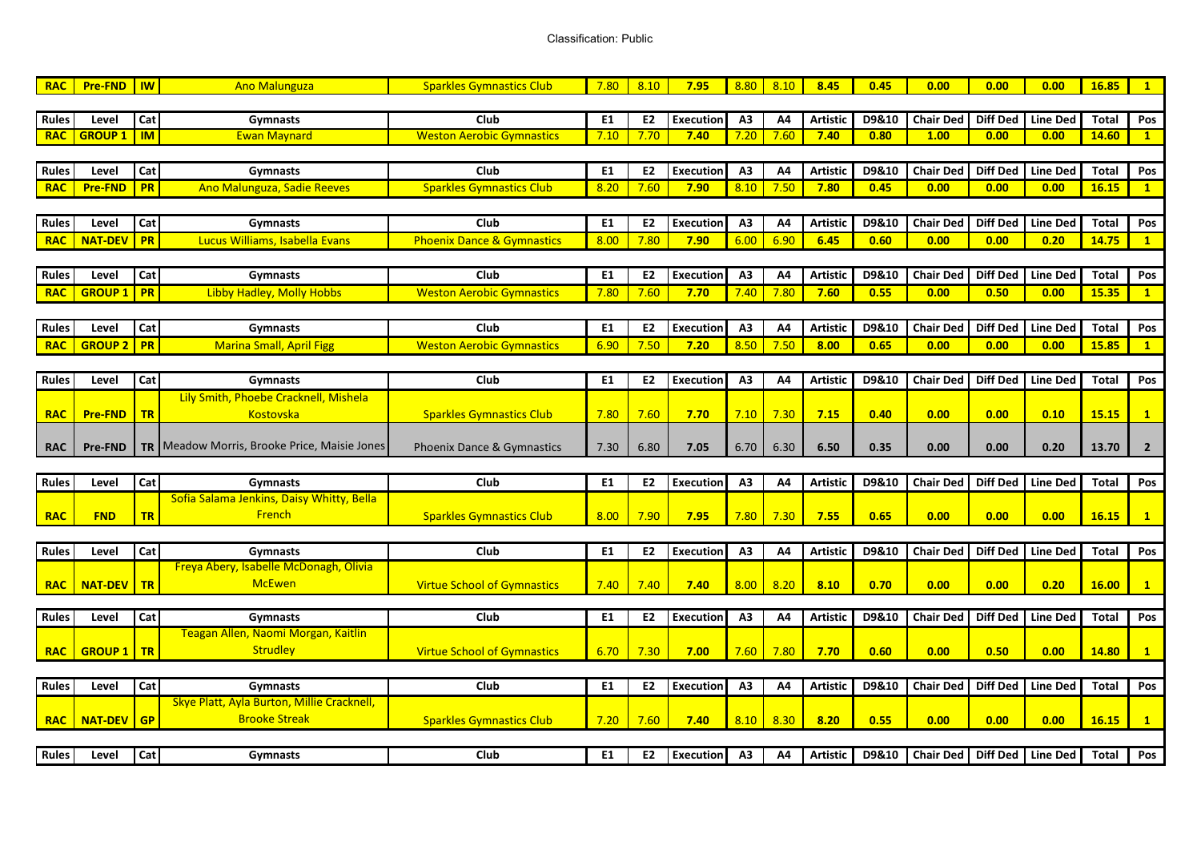## Classification: Public#

| <b>RAC</b>   | <b>Pre-FND</b> | $\overline{w}$ | <b>Ano Malunguza</b>                                  | <b>Sparkles Gymnastics Club</b>       | 7.80 | 8.10           | 7.95             | 8.80           | 8.10           | 8.45            | 0.45  | 0.00             | 0.00            | 0.00              | 16.85        | $\mathbf{1}$   |
|--------------|----------------|----------------|-------------------------------------------------------|---------------------------------------|------|----------------|------------------|----------------|----------------|-----------------|-------|------------------|-----------------|-------------------|--------------|----------------|
|              |                |                |                                                       |                                       |      |                |                  |                |                |                 |       |                  |                 |                   |              |                |
| <b>Rules</b> | Level          | Cat            | <b>Gymnasts</b>                                       | Club                                  | E1   | E <sub>2</sub> | <b>Execution</b> | A3             | A <sub>4</sub> | <b>Artistic</b> | D9&10 | <b>Chair Ded</b> | <b>Diff Ded</b> | <b>Line Ded</b>   | <b>Total</b> | Pos            |
| <b>RAC</b>   | <b>GROUP1</b>  | $\blacksquare$ | <b>Ewan Maynard</b>                                   | <b>Weston Aerobic Gymnastics</b>      | 7.10 | 7.70           | 7.40             | 7.20           | 7.60           | 7.40            | 0.80  | 1.00             | 0.00            | 0.00              | 14.60        | $\overline{1}$ |
|              |                |                |                                                       |                                       |      |                |                  |                |                |                 |       |                  |                 |                   |              |                |
| <b>Rules</b> | Level          | Cat            | Gymnasts                                              | Club                                  | E1   | E <sub>2</sub> | <b>Execution</b> | A3             | A <sub>4</sub> | <b>Artistic</b> | D9&10 | <b>Chair Ded</b> | <b>Diff Ded</b> | <b>Line Ded</b>   | <b>Total</b> | Pos            |
| <b>RAC</b>   | <b>Pre-FND</b> | <b>PR</b>      | Ano Malunguza, Sadie Reeves                           | <b>Sparkles Gymnastics Club</b>       | 8.20 | 7.60           | 7.90             | 8.10           | 7.50           | 7.80            | 0.45  | 0.00             | 0.00            | 0.00              | 16.15        | $\mathbf{1}$   |
|              |                |                |                                                       |                                       |      |                |                  |                |                |                 |       |                  |                 |                   |              |                |
| Rules        | Level          | Cat            | Gymnasts                                              | Club                                  | E1   | E2             | <b>Execution</b> | A <sub>3</sub> | A4             | <b>Artistic</b> | D9&10 | <b>Chair Ded</b> | <b>Diff Ded</b> | <b>Line Ded</b>   | Total        | Pos            |
| <b>RAC</b>   | <b>NAT-DEV</b> | <b>PR</b>      | Lucus Williams, Isabella Evans                        | <b>Phoenix Dance &amp; Gymnastics</b> | 8.00 | 7.80           | 7.90             | 6.00           | 6.90           | 6.45            | 0.60  | 0.00             | 0.00            | 0.20              | 14.75        | $\mathbf{1}$   |
|              |                |                |                                                       |                                       |      |                |                  |                |                |                 |       |                  |                 |                   |              |                |
| Rules        | Level          | Cat            | <b>Gymnasts</b>                                       | Club                                  | E1   | E <sub>2</sub> | <b>Execution</b> | A3             | A4             | <b>Artistic</b> | D9&10 | <b>Chair Ded</b> | <b>Diff Ded</b> | <b>Line Ded</b>   | <b>Total</b> | Pos            |
| <b>RAC</b>   | <b>GROUP 1</b> | <b>PR</b>      | Libby Hadley, Molly Hobbs                             | <b>Weston Aerobic Gymnastics</b>      | 7.80 | 7.60           | 7.70             | 7.40           | 7.80           | 7.60            | 0.55  | 0.00             | 0.50            | 0.00              | 15.35        | $\mathbf{1}$   |
|              |                |                |                                                       |                                       |      |                |                  |                |                |                 |       |                  |                 |                   |              |                |
| <b>Rules</b> | Level          | Cat            | <b>Gymnasts</b>                                       | Club                                  | E1   | E <sub>2</sub> | <b>Execution</b> | A <sub>3</sub> | A4             | <b>Artistic</b> | D9&10 | <b>Chair Ded</b> | <b>Diff Ded</b> | <b>Line Ded</b>   | Total        | Pos            |
| <b>RAC</b>   | <b>GROUP 2</b> | <b>PR</b>      | <b>Marina Small, April Figg</b>                       | <b>Weston Aerobic Gymnastics</b>      | 6.90 | 7.50           | 7.20             | 8.50           | 7.50           | 8.00            | 0.65  | 0.00             | 0.00            | 0.00              | 15.85        | $\mathbf{1}$   |
|              |                |                |                                                       |                                       |      |                |                  |                |                |                 |       |                  |                 |                   |              |                |
| Rules        | Level          | Cat            | <b>Gymnasts</b>                                       | Club                                  | E1   | E2             | <b>Execution</b> | A3             | A <sub>4</sub> | <b>Artistic</b> | D9&10 | <b>Chair Ded</b> | <b>Diff Ded</b> | <b>Line Ded</b>   | <b>Total</b> | Pos            |
|              |                |                | Lily Smith, Phoebe Cracknell, Mishela                 |                                       |      |                |                  |                |                |                 |       |                  |                 |                   |              |                |
| <b>RAC</b>   | <b>Pre-FND</b> | TR             | <b>Kostovska</b>                                      | <b>Sparkles Gymnastics Club</b>       | 7.80 | 7.60           | 7.70             | 7.10           | 7.30           | 7.15            | 0.40  | 0.00             | 0.00            | 0.10              | 15.15        | $\mathbf{1}$   |
|              |                |                |                                                       |                                       |      |                |                  |                |                |                 |       |                  |                 |                   |              |                |
| <b>RAC</b>   | <b>Pre-FND</b> |                | <b>TR</b>   Meadow Morris, Brooke Price, Maisie Jones | <b>Phoenix Dance &amp; Gymnastics</b> | 7.30 | 6.80           | 7.05             | 6.70           | 6.30           | 6.50            | 0.35  | 0.00             | 0.00            | 0.20              | 13.70        | $\overline{2}$ |
|              |                |                |                                                       |                                       |      |                |                  |                |                |                 |       |                  |                 |                   |              |                |
| Rules        | Level          | Cat            | <b>Gymnasts</b>                                       | <b>Club</b>                           | E1   | E2             | <b>Execution</b> | A3             | Α4             | <b>Artistic</b> | D9&10 | <b>Chair Ded</b> | Diff Ded        | <b>Line Ded</b>   | Total        | Pos            |
|              |                |                | Sofia Salama Jenkins, Daisy Whitty, Bella             |                                       |      |                |                  |                |                |                 |       |                  |                 |                   |              |                |
| <b>RAC</b>   | <b>FND</b>     | <b>TR</b>      | French                                                | <b>Sparkles Gymnastics Club</b>       | 8.00 | 7.90           | 7.95             | 7.80           | 7.30           | 7.55            | 0.65  | 0.00             | 0.00            | 0.00              | 16.15        | $\mathbf{1}$   |
|              |                |                |                                                       |                                       |      |                |                  |                |                |                 |       |                  |                 |                   |              |                |
| <b>Rules</b> | Level          | Cat            | <b>Gymnasts</b>                                       | <b>Club</b>                           | E1   | E <sub>2</sub> | <b>Execution</b> | A <sub>3</sub> | A <sub>4</sub> | <b>Artistic</b> | D9&10 | <b>Chair Ded</b> | <b>Diff Ded</b> | <b>Line Ded</b>   | <b>Total</b> | Pos            |
|              |                |                | Freya Abery, Isabelle McDonagh, Olivia                |                                       |      |                |                  |                |                |                 |       |                  |                 |                   |              |                |
| <b>RAC</b>   | <b>NAT-DEV</b> | TR             | <b>McEwen</b>                                         | <b>Virtue School of Gymnastics</b>    | 7.40 | 7.40           | 7.40             | 8.00           | 8.20           | 8.10            | 0.70  | 0.00             | 0.00            | 0.20              | 16.00        | $\mathbf{1}$   |
|              |                |                |                                                       |                                       |      |                |                  |                |                |                 |       |                  |                 |                   |              |                |
| <b>Rules</b> | Level          | Cat            | <b>Gymnasts</b>                                       | Club                                  | E1   | E2             | <b>Execution</b> | A <sub>3</sub> | A4             | <b>Artistic</b> | D9&10 | <b>Chair Ded</b> | <b>Diff Ded</b> | <b>Line Ded</b>   | <b>Total</b> | Pos            |
|              |                |                | Teagan Allen, Naomi Morgan, Kaitlin                   |                                       |      |                |                  |                |                |                 |       |                  |                 |                   |              |                |
| <b>RAC</b>   | <b>GROUP 1</b> | TR             | <b>Strudley</b>                                       | <b>Virtue School of Gymnastics</b>    | 6.70 | 7.30           | 7.00             | 7.60           | 7.80           | 7.70            | 0.60  | 0.00             | 0.50            | 0.00              | 14.80        | $\mathbf{1}$   |
|              |                |                |                                                       |                                       |      |                |                  |                |                |                 |       |                  |                 |                   |              |                |
| <b>Rules</b> | Level          | Cat            | <b>Gymnasts</b>                                       | Club                                  | E1   | E <sub>2</sub> | <b>Execution</b> | A3             | A4             | <b>Artistic</b> | D9&10 | <b>Chair Ded</b> | <b>Diff Ded</b> | <b>Line Ded</b>   | <b>Total</b> | Pos            |
|              |                |                | Skye Platt, Ayla Burton, Millie Cracknell,            |                                       |      |                |                  |                |                |                 |       |                  |                 |                   |              |                |
| <b>RAC</b>   | <b>NAT-DEV</b> | <b>GP</b>      | <b>Brooke Streak</b>                                  | <b>Sparkles Gymnastics Club</b>       | 7.20 | 7.60           | 7.40             | 8.10           | 8.30           | 8.20            | 0.55  | 0.00             | 0.00            | 0.00              | 16.15        | $\mathbf{1}$   |
|              |                |                |                                                       |                                       |      |                |                  |                |                |                 |       |                  |                 |                   |              |                |
| <b>Rules</b> | Level          | Cat            | Gymnasts                                              | Club                                  | E1   | E2             | <b>Execution</b> | A3             | A4             | <b>Artistic</b> | D9&10 | <b>Chair Ded</b> |                 | Diff Ded Line Ded | <b>Total</b> | Pos            |